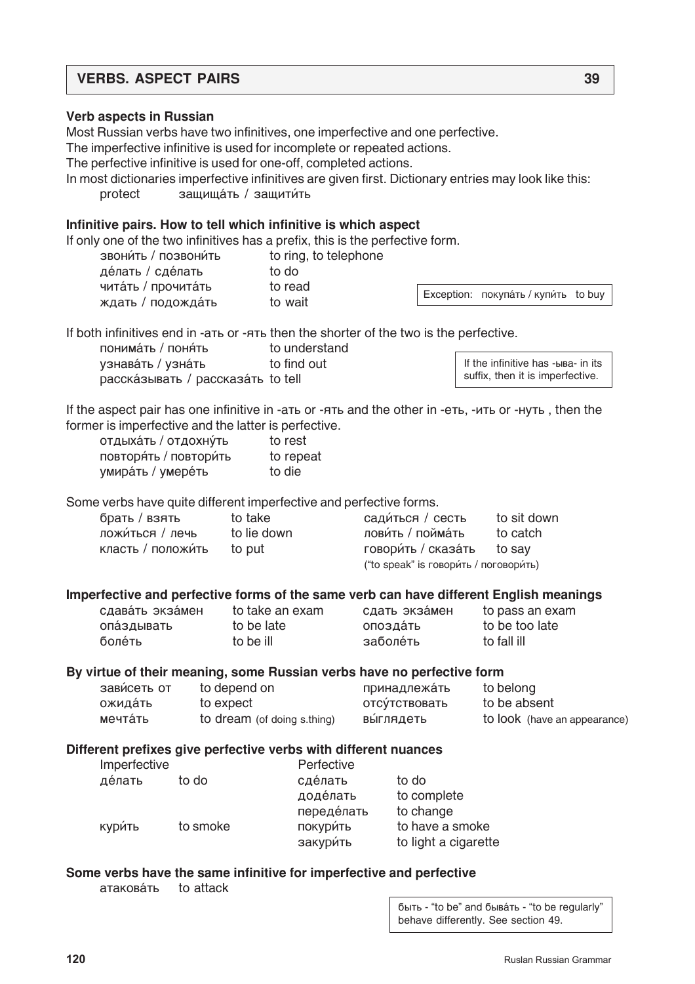# **VERBS. ASPECT PAIRS 39**

### **Verb aspects in Russian**

Most Russian verbs have two infinitives, one imperfective and one perfective.

The imperfective infinitive is used for incomplete or repeated actions.

The perfective infinitive is used for one-off, completed actions.

In most dictionaries imperfective infinitives are given first. Dictionary entries may look like this: protect защищать / защитить

# **Infinitive pairs. How to tell which infinitive is which aspect**

If only one of the two infinitives has a prefix, this is the perfective form.

| ЗВОНИ́ТЬ / ПОЗВОНИ́ТЬ | to ring, to telephone |
|-----------------------|-----------------------|
| делать / сделать      | to do                 |
| чита́ть / прочита́ть  | to read               |
| ждать / подожда́ть    | to wait               |

Exception: покупать / купи́ть to buy

If both infinitives end in -a<sub>Tb</sub> or -A<sub>Tb</sub> then the shorter of the two is the perfective.

понима́ть / поня́ть<br>
Understand vзнавáть / vзнáть do find out расска́зывать / рассказа́ть to tell

If the infinitive has -ыва- in its suffix, then it is imperfective.

If the aspect pair has one infinitive in -a<sub>Tb</sub> or -q<sub>ub</sub> and the other in -e<sub>Tb</sub>, -u<sub>Tb</sub> or - $\mu$ <sub>N</sub><sub>D</sub>, then the former is imperfective and the latter is perfective.

| отдыхать / отдохну́ть   | to rest   |
|-------------------------|-----------|
| повторя́ть / повтори́ть | to repeat |
| умира́ть / умере́ть     | to die    |

Some verbs have quite different imperfective and perfective forms.

| брать / взять      | to take     | сади́ться / сесть                       | to sit down |
|--------------------|-------------|-----------------------------------------|-------------|
| ложи́ться / лечь   | to lie down | лови́ть / пойма́ть                      | to catch    |
| класть / положи́ть | to put      | говори́ть / сказа́ть to say             |             |
|                    |             | ("to speak" is говори́ть / поговори́ть) |             |

#### **Imperfective and perfective forms of the same verb can have different English meanings**

| сдавать экзамен |  |
|-----------------|--|
| опаздывать      |  |
| болеть          |  |

- to be ill **заболе́ть** со fall ill
- to be late **interests** onos a and to be too late

to take an exam cлать экза́мен to pass an exam

#### **By virtue of their meaning, some Russian verbs have no perfective form**

| зави́сеть от | to depend on                | принадлежать   | to belong                    |
|--------------|-----------------------------|----------------|------------------------------|
| ожида́ть     | to expect                   | отсу́тствовать | to be absent                 |
| мечта́ть     | to dream (of doing s.thing) | выглядеть      | to look (have an appearance) |

#### **Different prefixes give perfective verbs with different nuances**

| Imperfective |          | Perfective |                      |
|--------------|----------|------------|----------------------|
| де́лать      | to do    | сделать    | to do                |
|              |          | доде́лать  | to complete          |
|              |          | переделать | to change            |
| КУРИ́ТЬ      | to smoke | ПОКУРИТЬ   | to have a smoke      |
|              |          | закури́ть  | to light a cigarette |

#### **Some verbs have the same infinitive for imperfective and perfective**

aтакова́ть to attack

быть - "to be" and бывать - "to be regularly" behave differently. See section 49.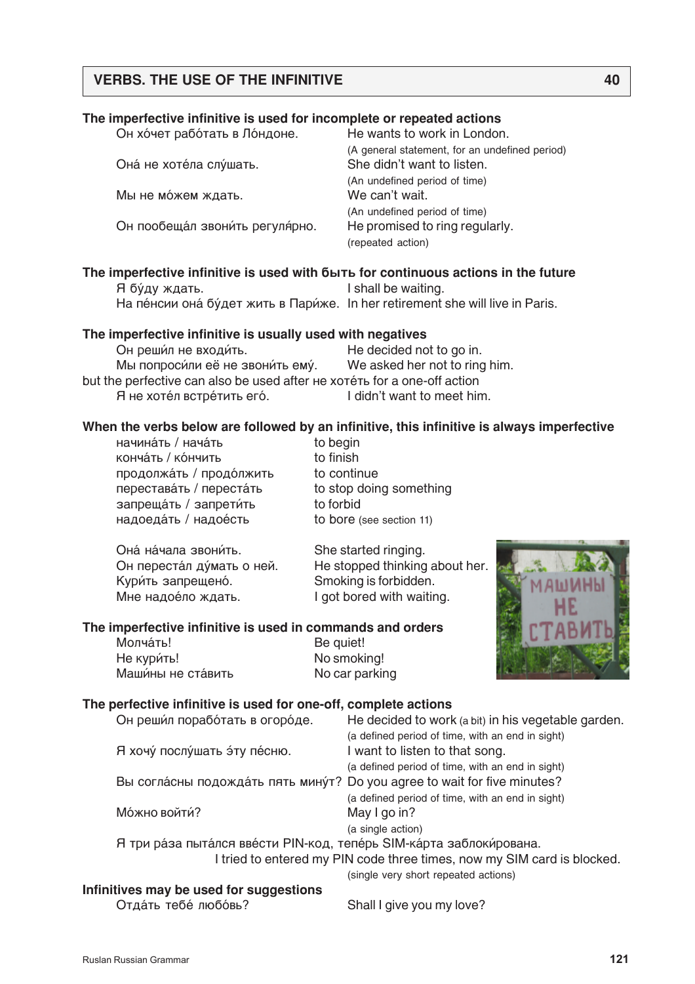# **The imperfective infinitive is used for incomplete or repeated actions**

| Он хочет работать в Лондоне.   | He wants to work in London.                    |
|--------------------------------|------------------------------------------------|
|                                | (A general statement, for an undefined period) |
| Она не хотела слушать.         | She didn't want to listen.                     |
|                                | (An undefined period of time)                  |
| Мы не можем ждать.             | We can't wait.                                 |
|                                | (An undefined period of time)                  |
| Он пообещал звонить регулярно. | He promised to ring regularly.                 |
|                                | (repeated action)                              |

#### The imperfective infinitive is used with **6**bit for continuous actions in the future Я бу́ду ждать. **I** shall be waiting.

На пе́нсии она бу́дет жить в Пари́же. In her retirement she will live in Paris.

#### **The imperfective infinitive is usually used with negatives**

| Он решил не входить.                                                     | He decided not to go in.      |
|--------------------------------------------------------------------------|-------------------------------|
| Мы попросили её не звонить ему.                                          | We asked her not to ring him. |
| but the perfective can also be used after He xoterb for a one-off action |                               |
| Я не хотел встретить его.                                                | I didn't want to meet him.    |

# **When the verbs below are followed by an infinitive, this infinitive is always imperfective**

начина́ть / нача́ть<br>
использование и собедій конча́ть / ко́нчить<br>
и согласно то finish продолжать / продолжить to continue переставáть / перестáть to stop doing something запреща́ть / запрети́ть to forbid надоеда́ть / надое́сть to bore (see section 11)

Она́на́чала звони́ть. She started ringing. Кури́ть запрещено́. Smoking is forbidden. Мне надое́ло ждать. **I** got bored with waiting.

Он переста́л ду́мать о ней. Не stopped thinking about her.

#### **The imperfective infinitive is used in commands and orders**

Молча́ть! **Ве quiet!** Не кури́ть! No smoking! Маши́ны не ста́вить **No car parking** 



#### **The perfective infinitive is used for one-off, complete actions**

| Он решил поработать в огороде.                                           | He decided to work (a bit) in his vegetable garden.                          |
|--------------------------------------------------------------------------|------------------------------------------------------------------------------|
|                                                                          | (a defined period of time, with an end in sight)                             |
| Я хочу послушать эту песню.                                              | I want to listen to that song.                                               |
|                                                                          | (a defined period of time, with an end in sight)                             |
| Вы согласны подождать пять минут? Do you agree to wait for five minutes? |                                                                              |
|                                                                          | (a defined period of time, with an end in sight)                             |
| Можно войти?                                                             | May I go in?                                                                 |
|                                                                          | (a single action)                                                            |
| Я три ра́за пыта́лся вве́сти PIN-код, тепе́рь SIM-ка́рта заблоки́рована. |                                                                              |
|                                                                          | I tried to entered my PIN code three times, now my SIM card is blocked.      |
|                                                                          | (single very short repeated actions)                                         |
| Infinitives may be used for suggestions                                  |                                                                              |
| $\bigcap_{i=1}^n S_i = S_i = S_i = S_i = S_i = S_i$                      | $\bigcap L = \{1, 1, \ldots, \ldots, \ldots, \ldots, 1, \ldots, \bigcap L\}$ |

Отдать тебе́ любо́вь? Shall I give you my love?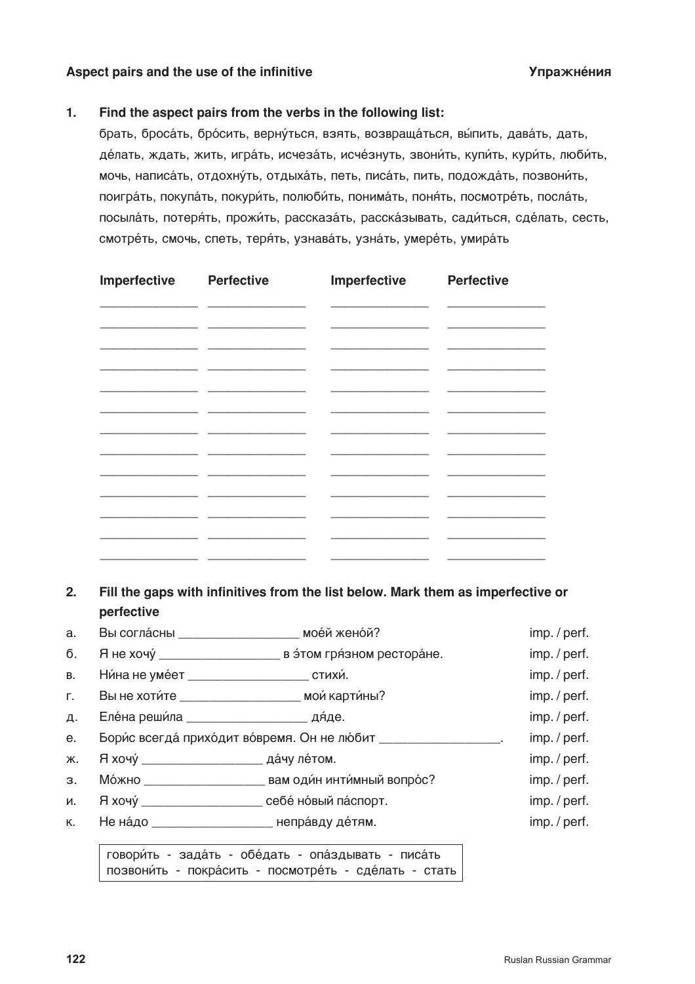## Aspect pairs and the use of the infinitive **Судажности и судажности и судажности** Упражне́ния

# **1. Find the aspect pairs from the verbs in the following list:**

брать, бросать, бросить, вернуться, взять, возвращаться, выпить, давать, дать, де́лать, ждать, жить, игра́ть, исчеза́ть, исче́знуть, звони́ть, купи́ть, кури́ть, люби́ть, мочь, написа́ть, отдохну́ть, отдыха́ть, петь, писа́ть, пить, подожда́ть, позвони́ть, поигра́ть, покупа́ть, покури́ть, полюби́ть, понима́ть, поня́ть, посмотре́ть, посла́ть, посыла́ть, потеря́ть, прожи́ть, рассказа́ть, расска́зывать, сади́ться, сде́лать, сесть, смотре́ть, смочь, спеть, теря́ть, узнава́ть, узна́ть, умере́ть, умира́ть

| Imperfective                                                                                                                                                                                                                         | <b>Perfective</b>                               | Imperfective                                                                                                                                                                                                                         | <b>Perfective</b> |
|--------------------------------------------------------------------------------------------------------------------------------------------------------------------------------------------------------------------------------------|-------------------------------------------------|--------------------------------------------------------------------------------------------------------------------------------------------------------------------------------------------------------------------------------------|-------------------|
|                                                                                                                                                                                                                                      | <u> 1989 - Johann John Stone, mars et al. (</u> | <u> 1989 - Johann Harry Harry Harry Harry Harry Harry Harry Harry Harry Harry Harry Harry Harry Harry Harry Harry Harry Harry Harry Harry Harry Harry Harry Harry Harry Harry Harry Harry Harry Harry Harry Harry Harry Harry Ha</u> |                   |
| <u> The Common State Common State Common State Common State Common State Common State Common State Common State Common State Common State Common State Common State Common State Common State Common State Common State Common S</u> |                                                 |                                                                                                                                                                                                                                      |                   |
|                                                                                                                                                                                                                                      |                                                 |                                                                                                                                                                                                                                      |                   |
| <u> 1989 - Johann Barnett, fransk politiker (</u>                                                                                                                                                                                    |                                                 |                                                                                                                                                                                                                                      |                   |
| and the control of the control of                                                                                                                                                                                                    | - 11                                            |                                                                                                                                                                                                                                      |                   |
|                                                                                                                                                                                                                                      |                                                 |                                                                                                                                                                                                                                      |                   |
|                                                                                                                                                                                                                                      |                                                 |                                                                                                                                                                                                                                      |                   |
| ________                                                                                                                                                                                                                             |                                                 |                                                                                                                                                                                                                                      |                   |
|                                                                                                                                                                                                                                      |                                                 |                                                                                                                                                                                                                                      |                   |
|                                                                                                                                                                                                                                      | $\sim$                                          |                                                                                                                                                                                                                                      |                   |

**2. Fill the gaps with infinitives from the list below. Mark them as imperfective or perfective**

| a.        |                                                      | Вы согласны Первой женой?                                          | imp./perf.   |
|-----------|------------------------------------------------------|--------------------------------------------------------------------|--------------|
| б.        |                                                      |                                                                    | imp. / perf. |
| <b>B.</b> | Ни́на не уме́ет ____________________________ стихи́. |                                                                    | imp. / perf. |
| Г.        |                                                      | Вы не хоти́те ___________________________ мои́ карти́ны?           | imp. / perf. |
| Д.        |                                                      |                                                                    | imp. / perf. |
| e.        |                                                      | Бори́с всегда́ прихо́дит во́время. Он не лю́бит _________________. | imp. / perf. |
| Ж.        |                                                      |                                                                    | imp. / perf. |
| 3.        |                                                      |                                                                    | imp. / perf. |
| И.        |                                                      | Я хочу́ _____________________ себе́ но́вый па́спорт.               | imp. / perf. |
|           |                                                      | к. Не надо ________________________________ неправду де́тям.       | imp. / perf. |
|           |                                                      |                                                                    |              |

говори́ть - зада́ть - обе́дать - опа́здывать - писа́ть позвони́ть - покра́сить - посмотре́ть - сде́лать - стать